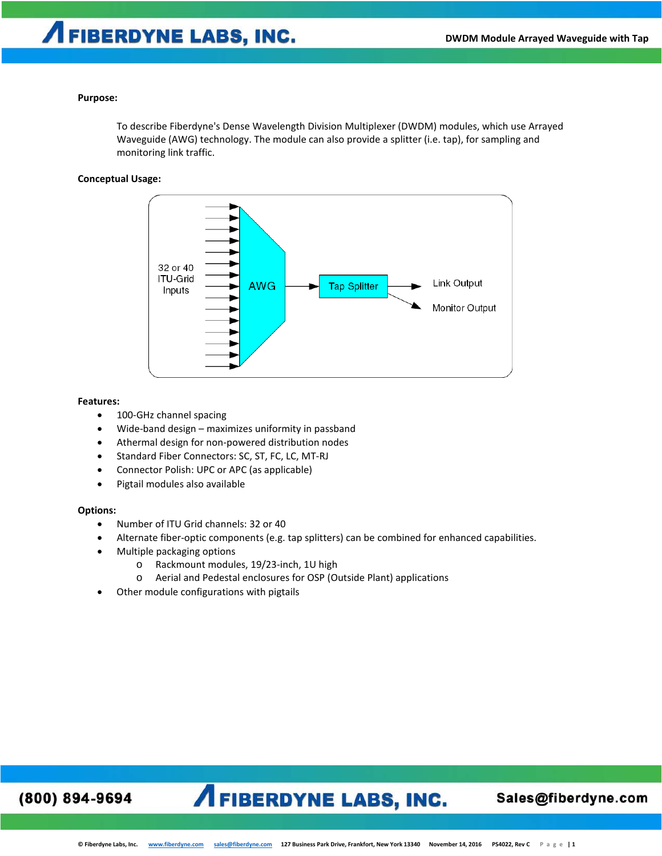### **Purpose:**

To describe Fiberdyne's Dense Wavelength Division Multiplexer (DWDM) modules, which use Arrayed Waveguide (AWG) technology. The module can also provide a splitter (i.e. tap), for sampling and monitoring link traffic.

### **Conceptual Usage:**



### **Features:**

- 100-GHz channel spacing
- Wide-band design maximizes uniformity in passband
- Athermal design for non-powered distribution nodes
- Standard Fiber Connectors: SC, ST, FC, LC, MT-RJ
- Connector Polish: UPC or APC (as applicable)
- Pigtail modules also available

## **Options:**

- Number of ITU Grid channels: 32 or 40
- Alternate fiber-optic components (e.g. tap splitters) can be combined for enhanced capabilities.
- Multiple packaging options
	- o Rackmount modules, 19/23-inch, 1U high
	- o Aerial and Pedestal enclosures for OSP (Outside Plant) applications
- Other module configurations with pigtails

## (800) 894-9694

## **AFIBERDYNE LABS, INC.**

## Sales@fiberdyne.com